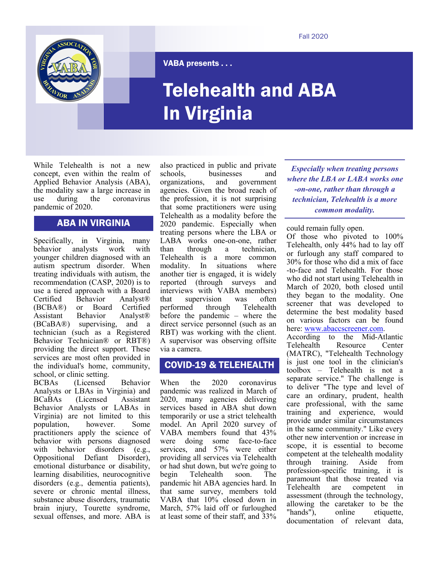

VABA presents . . .

# Telehealth and ABA In Virginia

While Telehealth is not a new concept, even within the realm of Applied Behavior Analysis (ABA), the modality saw a large increase in use during the coronavirus pandemic of 2020.

# ABA IN VIRGINIA

Specifically, in Virginia, many behavior analysts work with younger children diagnosed with an autism spectrum disorder. When treating individuals with autism, the recommendation (CASP, 2020) is to use a tiered approach with a Board Certified Behavior Analyst®<br>(BCBA®) or Board Certified (BCBA®) or Board Certified Assistant Behavior Analyst® (BCaBA®) supervising, and a technician (such as a Registered Behavior Technician® or RBT®) providing the direct support. These services are most often provided in the individual's home, community, school, or clinic setting.

BCBAs (Licensed Behavior Analysts or LBAs in Virginia) and BCaBAs (Licensed Assistant Behavior Analysts or LABAs in Virginia) are not limited to this population, however. Some practitioners apply the science of behavior with persons diagnosed with behavior disorders (e.g., Oppositional Defiant Disorder), emotional disturbance or disability, learning disabilities, neurocognitive disorders (e.g., dementia patients), severe or chronic mental illness, substance abuse disorders, traumatic brain injury, Tourette syndrome, sexual offenses, and more. ABA is

also practiced in public and private schools, businesses and organizations, and government agencies. Given the broad reach of the profession, it is not surprising that some practitioners were using Telehealth as a modality before the 2020 pandemic. Especially when treating persons where the LBA or LABA works one-on-one, rather than through a technician, Telehealth is a more common modality. In situations where another tier is engaged, it is widely reported (through surveys and interviews with VABA members) that supervision was often<br>nerformed through Telehealth performed through before the pandemic – where the direct service personnel (such as an RBT) was working with the client. A supervisor was observing offsite via a camera.

# COVID-19 & TELEHEALTH

When the 2020 coronavirus pandemic was realized in March of 2020, many agencies delivering services based in ABA shut down temporarily or use a strict telehealth model. An April 2020 survey of VABA members found that 43% were doing some face-to-face services, and 57% were either providing all services via Telehealth or had shut down, but we're going to begin Telehealth soon. The pandemic hit ABA agencies hard. In that same survey, members told VABA that 10% closed down in March, 57% laid off or furloughed at least some of their staff, and 33%

*Especially when treating persons where the LBA or LABA works one -on-one, rather than through a technician, Telehealth is a more common modality.* 

could remain fully open.

Of those who pivoted to 100% Telehealth, only 44% had to lay off or furlough any staff compared to 30% for those who did a mix of face -to-face and Telehealth. For those who did not start using Telehealth in March of 2020, both closed until they began to the modality. One screener that was developed to determine the best modality based on various factors can be found here: [www.abaccscreener.com.](http://www.abaccscreener.com)

According to the Mid-Atlantic Telehealth Resource Center (MATRC), "Telehealth Technology is just one tool in the clinician's toolbox – Telehealth is not a separate service." The challenge is to deliver "The type and level of care an ordinary, prudent, health care professional, with the same training and experience, would provide under similar circumstances in the same community." Like every other new intervention or increase in scope, it is essential to become competent at the telehealth modality through training. Aside from profession-specific training, it is paramount that those treated via<br>Telehealth are competent in are competent in assessment (through the technology, allowing the caretaker to be the "hands"), online etiquette, documentation of relevant data,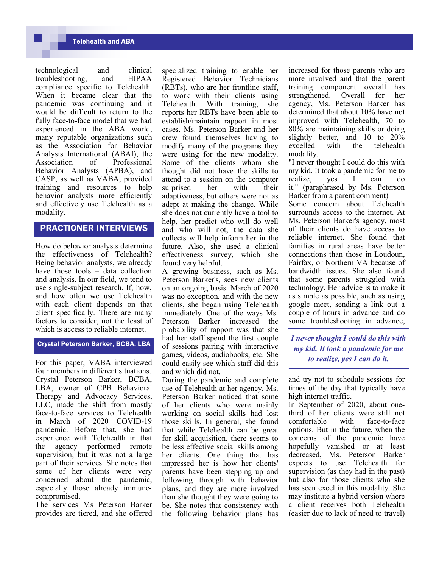technological and clinical<br>troubleshooting, and HIPAA troubleshooting, and compliance specific to Telehealth. When it became clear that the pandemic was continuing and it would be difficult to return to the fully face-to-face model that we had experienced in the ABA world, many reputable organizations such as the Association for Behavior Analysis International (ABAI), the Association of Professional Behavior Analysts (APBA), and CASP, as well as VABA, provided training and resources to help behavior analysts more efficiently and effectively use Telehealth as a modality.

## PRACTIONER INTERVIEWS

How do behavior analysts determine the effectiveness of Telehealth? Being behavior analysts, we already have those tools – data collection and analysis. In our field, we tend to use single-subject research. If, how, and how often we use Telehealth with each client depends on that client specifically. There are many factors to consider, not the least of which is access to reliable internet.

#### Crystal Peterson Barker, BCBA, LBA

For this paper, VABA interviewed four members in different situations. Crystal Peterson Barker, BCBA, LBA, owner of CPB Behavioral Therapy and Advocacy Services, LLC, made the shift from mostly face-to-face services to Telehealth in March of 2020 COVID-19 pandemic. Before that, she had experience with Telehealth in that the agency performed remote supervision, but it was not a large part of their services. She notes that some of her clients were very concerned about the pandemic, especially those already immunecompromised.

The services Ms Peterson Barker provides are tiered, and she offered

specialized training to enable her Registered Behavior Technicians (RBTs), who are her frontline staff, to work with their clients using Telehealth. With training, she reports her RBTs have been able to establish/maintain rapport in most cases. Ms. Peterson Barker and her crew found themselves having to modify many of the programs they were using for the new modality. Some of the clients whom she thought did not have the skills to attend to a session on the computer surprised her with their adaptiveness, but others were not as adept at making the change. While she does not currently have a tool to help, her predict who will do well and who will not, the data she collects will help inform her in the future. Also, she used a clinical effectiveness survey, which she found very helpful.

A growing business, such as Ms. Peterson Barker's, sees new clients on an ongoing basis. March of 2020 was no exception, and with the new clients, she began using Telehealth immediately. One of the ways Ms. Peterson Barker increased the probability of rapport was that she had her staff spend the first couple of sessions pairing with interactive games, videos, audiobooks, etc. She could easily see which staff did this and which did not.

During the pandemic and complete use of Telehealth at her agency, Ms. Peterson Barker noticed that some of her clients who were mainly working on social skills had lost those skills. In general, she found that while Telehealth can be great for skill acquisition, there seems to be less effective social skills among her clients. One thing that has impressed her is how her clients' parents have been stepping up and following through with behavior plans, and they are more involved than she thought they were going to be. She notes that consistency with the following behavior plans has

increased for those parents who are more involved and that the parent training component overall has strengthened. Overall for her agency, Ms. Peterson Barker has determined that about 10% have not improved with Telehealth, 70 to 80% are maintaining skills or doing slightly better, and 10 to 20% excelled with the telehealth modality.

"I never thought I could do this with my kid. It took a pandemic for me to realize, yes I can do it." (paraphrased by Ms. Peterson Barker from a parent comment)

Some concern about Telehealth surrounds access to the internet. At Ms. Peterson Barker's agency, most of their clients do have access to reliable internet. She found that families in rural areas have better connections than those in Loudoun, Fairfax, or Northern VA because of bandwidth issues. She also found that some parents struggled with technology. Her advice is to make it as simple as possible, such as using google meet, sending a link out a couple of hours in advance and do some troubleshooting in advance,

*I never thought I could do this with my kid. It took a pandemic for me to realize, yes I can do it.*

and try not to schedule sessions for times of the day that typically have high internet traffic.

In September of 2020, about onethird of her clients were still not comfortable with face-to-face options. But in the future, when the concerns of the pandemic have hopefully vanished or at least decreased, Ms. Peterson Barker expects to use Telehealth for supervision (as they had in the past) but also for those clients who she has seen excel in this modality. She may institute a hybrid version where a client receives both Telehealth (easier due to lack of need to travel)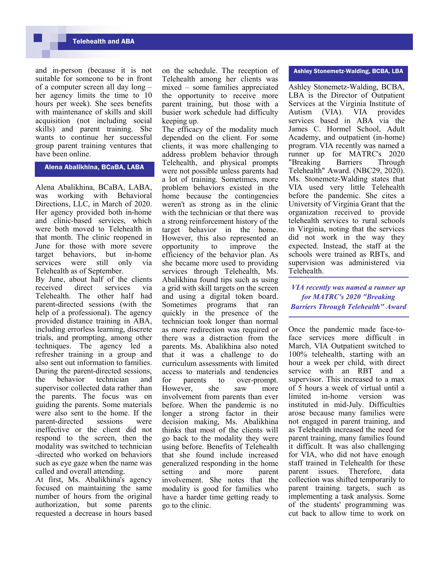## Telehealth and ABA

and in-person (because it is not suitable for someone to be in front of a computer screen all day long – her agency limits the time to 10 hours per week). She sees benefits with maintenance of skills and skill acquisition (not including social skills) and parent training. She wants to continue her successful group parent training ventures that have been online.

Alena Abalikhina, BCaBA, LABA

Alena Abalikhina, BCaBA, LABA, was working with Behavioral Directions, LLC, in March of 2020. Her agency provided both in-home and clinic-based services, which were both moved to Telehealth in that month. The clinic reopened in June for those with more severe target behaviors, but in-home services were still only via Telehealth as of September.

By June, about half of the clients received direct services via Telehealth. The other half had parent-directed sessions (with the help of a professional). The agency provided distance training in ABA, including errorless learning, discrete trials, and prompting, among other techniques. The agency led a refresher training in a group and also sent out information to families. During the parent-directed sessions, the behavior technician and supervisor collected data rather than the parents. The focus was on guiding the parents. Some materials were also sent to the home. If the parent-directed sessions were ineffective or the client did not respond to the screen, then the modality was switched to technician -directed who worked on behaviors such as eye gaze when the name was called and overall attending.

At first, Ms. Abalikhina's agency focused on maintaining the same number of hours from the original authorization, but some parents requested a decrease in hours based

on the schedule. The reception of Telehealth among her clients was mixed – some families appreciated the opportunity to receive more parent training, but those with a busier work schedule had difficulty keeping up.

The efficacy of the modality much depended on the client. For some clients, it was more challenging to address problem behavior through Telehealth, and physical prompts were not possible unless parents had a lot of training. Sometimes, more problem behaviors existed in the home because the contingencies weren't as strong as in the clinic with the technician or that there was a strong reinforcement history of the target behavior in the home. However, this also represented an opportunity to improve the efficiency of the behavior plan. As she became more used to providing services through Telehealth, Ms. Abalikhina found tips such as using a grid with skill targets on the screen and using a digital token board. Sometimes programs that ran quickly in the presence of the technician took longer than normal as more redirection was required or there was a distraction from the parents. Ms. Abalikhina also noted that it was a challenge to do curriculum assessments with limited access to materials and tendencies for parents to over-prompt. However, she saw more involvement from parents than ever before. When the pandemic is no longer a strong factor in their decision making, Ms. Abalikhina thinks that most of the clients will go back to the modality they were using before. Benefits of Telehealth that she found include increased generalized responding in the home setting and more parent involvement. She notes that the modality is good for families who have a harder time getting ready to go to the clinic.

### Ashley Stonemetz-Walding, BCBA, LBA

Ashley Stonemetz-Walding, BCBA, LBA is the Director of Outpatient Services at the Virginia Institute of Autism (VIA). VIA provides services based in ABA via the James C. Hormel School, Adult Academy, and outpatient (in-home) program. VIA recently was named a runner up for MATRC's 2020 "Breaking Barriers Through Telehealth" Award. (NBC29, 2020). Ms. Stonemetz-Walding states that VIA used very little Telehealth before the pandemic. She cites a University of Virginia Grant that the organization received to provide telehealth services to rural schools in Virginia, noting that the services did not work in the way they expected. Instead, the staff at the schools were trained as RBTs, and supervision was administered via Telehealth.

*VIA recently was named a runner up for MATRC's 2020 "Breaking Barriers Through Telehealth" Award*

Once the pandemic made face-toface services more difficult in March, VIA Outpatient switched to 100% telehealth, starting with an hour a week per child, with direct service with an RBT and a supervisor. This increased to a max of 5 hours a week of virtual until a limited in-home version was instituted in mid-July. Difficulties arose because many families were not engaged in parent training, and as Telehealth increased the need for parent training, many families found it difficult. It was also challenging for VIA, who did not have enough staff trained in Telehealth for these parent issues. Therefore, data collection was shifted temporarily to parent training targets, such as implementing a task analysis. Some of the students' programming was cut back to allow time to work on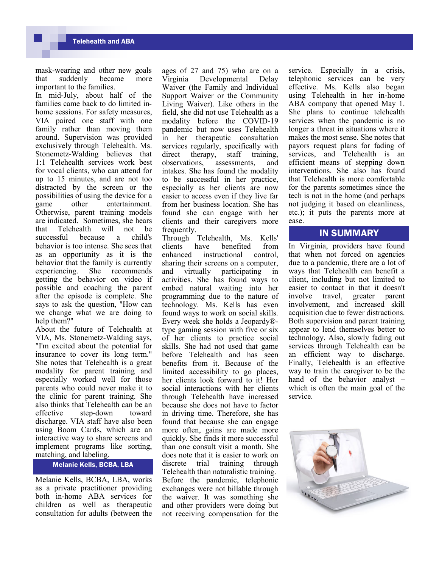mask-wearing and other new goals<br>that suddenly became more that suddenly became important to the families.

In mid-July, about half of the families came back to do limited inhome sessions. For safety measures, VIA paired one staff with one family rather than moving them around. Supervision was provided exclusively through Telehealth. Ms. Stonemetz-Walding believes that 1:1 Telehealth services work best for vocal clients, who can attend for up to 15 minutes, and are not too distracted by the screen or the possibilities of using the device for a game other entertainment. Otherwise, parent training models are indicated. Sometimes, she hears that Telehealth will not be successful because a child's behavior is too intense. She sees that as an opportunity as it is the behavior that the family is currently experiencing. She recommends getting the behavior on video if possible and coaching the parent after the episode is complete. She says to ask the question, "How can we change what we are doing to help them?"

About the future of Telehealth at VIA, Ms. Stonemetz-Walding says, "I'm excited about the potential for insurance to cover its long term." She notes that Telehealth is a great modality for parent training and especially worked well for those parents who could never make it to the clinic for parent training. She also thinks that Telehealth can be an effective step-down toward discharge. VIA staff have also been using Boom Cards, which are an interactive way to share screens and implement programs like sorting, matching, and labeling.

#### Melanie Kells, BCBA, LBA

Melanie Kells, BCBA, LBA, works as a private practitioner providing both in-home ABA services for children as well as therapeutic consultation for adults (between the

ages of 27 and 75) who are on a Virginia Developmental Delay Waiver (the Family and Individual Support Waiver or the Community Living Waiver). Like others in the field, she did not use Telehealth as a modality before the COVID-19 pandemic but now uses Telehealth in her therapeutic consultation services regularly, specifically with direct therapy, staff training, observations, assessments, and intakes. She has found the modality to be successful in her practice, especially as her clients are now easier to access even if they live far from her business location. She has found she can engage with her clients and their caregivers more frequently.

Through Telehealth, Ms. Kells' clients have benefited from enhanced instructional control, sharing their screens on a computer, and virtually participating in activities. She has found ways to embed natural waiting into her programming due to the nature of technology. Ms. Kells has even found ways to work on social skills. Every week she holds a Jeopardy® type gaming session with five or six of her clients to practice social skills. She had not used that game before Telehealth and has seen benefits from it. Because of the limited accessibility to go places, her clients look forward to it! Her social interactions with her clients through Telehealth have increased because she does not have to factor in driving time. Therefore, she has found that because she can engage more often, gains are made more quickly. She finds it more successful than one consult visit a month. She does note that it is easier to work on discrete trial training through Telehealth than naturalistic training. Before the pandemic, telephonic exchanges were not billable through the waiver. It was something she and other providers were doing but not receiving compensation for the service. Especially in a crisis, telephonic services can be very effective. Ms. Kells also began using Telehealth in her in-home ABA company that opened May 1. She plans to continue telehealth services when the pandemic is no longer a threat in situations where it makes the most sense. She notes that payors request plans for fading of services, and Telehealth is an efficient means of stepping down interventions. She also has found that Telehealth is more comfortable for the parents sometimes since the tech is not in the home (and perhaps not judging it based on cleanliness, etc.); it puts the parents more at ease.

## IN SUMMARY

In Virginia, providers have found that when not forced on agencies due to a pandemic, there are a lot of ways that Telehealth can benefit a client, including but not limited to easier to contact in that it doesn't<br>involve travel, greater parent involve travel, greater involvement, and increased skill acquisition due to fewer distractions. Both supervision and parent training appear to lend themselves better to technology. Also, slowly fading out services through Telehealth can be an efficient way to discharge. Finally, Telehealth is an effective way to train the caregiver to be the hand of the behavior analyst – which is often the main goal of the service.